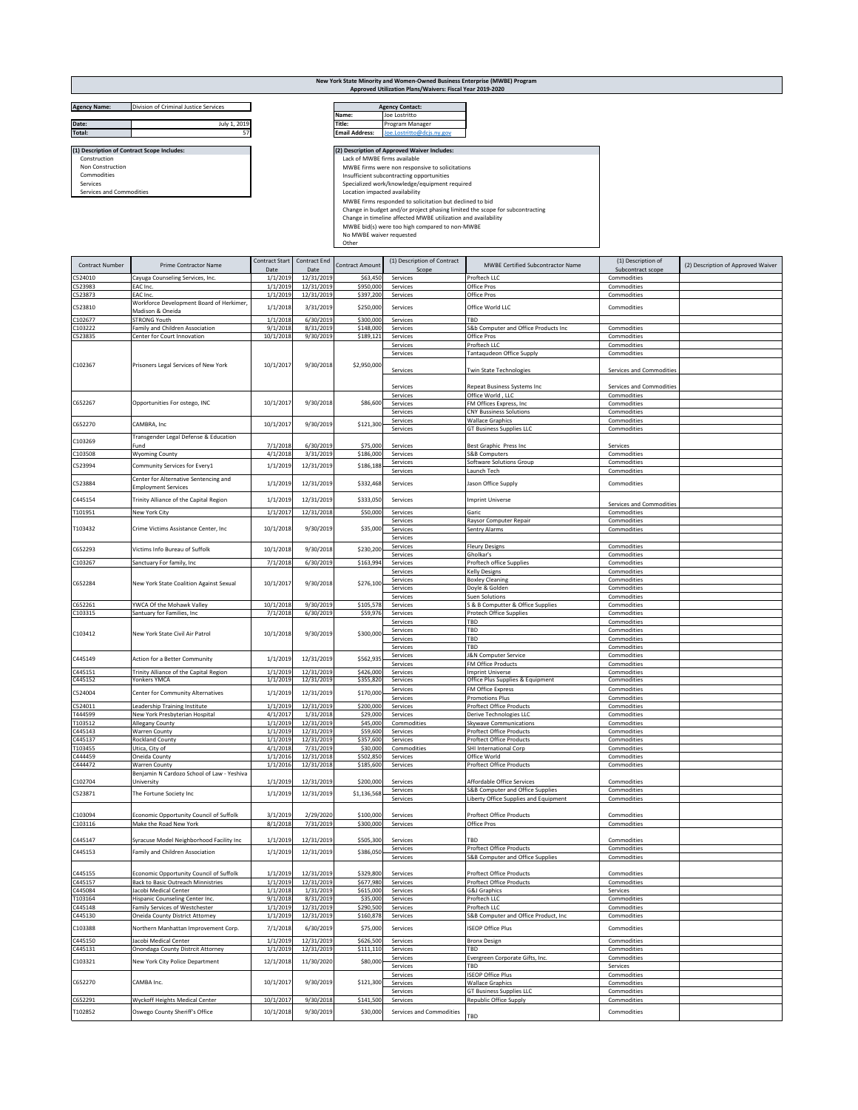## **New York State Minority and Women-Owned Business Enterprise (MWBE) Program Approved Utilization Plans/Waivers: Fiscal Year 2019-2020**

| <b>Agency Name:</b><br>Division of Criminal Justice Services |                                             |    |                       | <b>Agency Contact:</b>                                                       |  |  |  |
|--------------------------------------------------------------|---------------------------------------------|----|-----------------------|------------------------------------------------------------------------------|--|--|--|
|                                                              |                                             |    | Name:                 | Joe Lostritto                                                                |  |  |  |
| Date:                                                        | July 1, 2019                                |    | Title:                | Program Manager                                                              |  |  |  |
| <b>Total:</b>                                                |                                             | 57 | <b>Email Address:</b> | Joe.Lostritto@dcjs.ny.gov                                                    |  |  |  |
|                                                              |                                             |    |                       |                                                                              |  |  |  |
|                                                              | (1) Description of Contract Scope Includes: |    |                       | (2) Description of Approved Waiver Includes:                                 |  |  |  |
| Construction                                                 |                                             |    |                       | Lack of MWBE firms available                                                 |  |  |  |
| Non Construction                                             |                                             |    |                       | MWBE firms were non responsive to solicitations                              |  |  |  |
| Commodities                                                  |                                             |    |                       | Insufficient subcontracting opportunities                                    |  |  |  |
| Services                                                     |                                             |    |                       | Specialized work/knowledge/equipment required                                |  |  |  |
| Services and Commodities                                     |                                             |    |                       | Location impacted availability                                               |  |  |  |
|                                                              |                                             |    |                       | MWBE firms responded to solicitation but declined to bid                     |  |  |  |
|                                                              |                                             |    |                       | Change in budget and/or project phasing limited the scope for subcontracting |  |  |  |
|                                                              |                                             |    |                       | Change in timeline affected MWBE utilization and availability                |  |  |  |
|                                                              |                                             |    |                       | MWBE bid(s) were too high compared to non-MWBE                               |  |  |  |
|                                                              |                                             |    |                       | No MWBE waiver requested                                                     |  |  |  |
|                                                              |                                             |    | Other                 |                                                                              |  |  |  |

| <b>Agency Contact:</b> |                           |  |  |  |  |  |
|------------------------|---------------------------|--|--|--|--|--|
| lame:                  | Joe Lostritto             |  |  |  |  |  |
| 'itle:                 | Program Manager           |  |  |  |  |  |
| <b>Email Address:</b>  | Joe.Lostritto@dcis.nv.gov |  |  |  |  |  |

| <b>Contract Number</b> | <b>Prime Contractor Name</b>                                       | Contract Start<br>Date | Contract End<br>Date     | <b>Contract Amount</b> | (1) Description of Contract<br>Scope | <b>MWBE Certified Subcontractor Name</b>                    | (1) Description of<br>Subcontract scope | (2) Description of Approved Waiver |
|------------------------|--------------------------------------------------------------------|------------------------|--------------------------|------------------------|--------------------------------------|-------------------------------------------------------------|-----------------------------------------|------------------------------------|
| C524010                | Cayuga Counseling Services, Inc.                                   | 1/1/2019               | 12/31/2019               | \$63,450               | Services                             | Proftech LLC                                                | Commodities                             |                                    |
| C523983                | EAC Inc.                                                           | 1/1/2019               | 12/31/2019               | \$950,000              | Services                             | Office Pros                                                 | Commodities                             |                                    |
| C523873                | EAC Inc                                                            | 1/1/2019               | 12/31/2019               | \$397,200              | Services                             | Office Pros                                                 | Commodities                             |                                    |
| C523810                | Workforce Development Board of Herkimer,                           | 1/1/2018               | 3/31/2019                | \$250,000              | Services                             | Office World LLC                                            | Commodities                             |                                    |
| C102677                | Madison & Oneida<br><b>STRONG Youth</b>                            | 1/1/2018               | 6/30/2019                | \$300,000              | Services                             | TRD                                                         |                                         |                                    |
| C103222                | Family and Children Association                                    | 9/1/2018               | 8/31/2019                | \$148,000              | Services                             | S&b Computer and Office Products Inc                        | Commodities                             |                                    |
| C523835                | Center for Court Innovation                                        | 10/1/2018              | 9/30/2019                | \$189,121              | Services                             | Office Pros                                                 | Commodities                             |                                    |
|                        |                                                                    |                        |                          |                        | Services                             | Proftech LLC                                                | Commodities                             |                                    |
|                        |                                                                    |                        |                          |                        | Services                             | Tantaqudeon Office Supply                                   | Commodities                             |                                    |
| C102367                | Prisoners Legal Services of New York                               | 10/1/2017              | 9/30/2018                | \$2,950,000            | Services                             | <b>Twin State Technologies</b>                              | Services and Commodities                |                                    |
|                        |                                                                    |                        |                          |                        |                                      |                                                             |                                         |                                    |
|                        |                                                                    |                        |                          |                        | Services                             | Repeat Business Systems Inc                                 | Services and Commodities                |                                    |
|                        |                                                                    |                        |                          |                        | Services                             | Office World, LLC                                           | Commodities                             |                                    |
| C652267                | Opportunities For ostego, INC                                      | 10/1/2017              | 9/30/2018                | \$86,600               | Services<br>Services                 | FM Offices Express, Inc.<br><b>CNY Bussiness Solutions</b>  | Commodities<br>Commodities              |                                    |
|                        |                                                                    |                        |                          |                        | Services                             | <b>Wallace Graphics</b>                                     | Commodities                             |                                    |
| C652270                | CAMBRA, Inc                                                        | 10/1/2017              | 9/30/2019                | \$121,300              | Services                             | GT Business Supplies LLC                                    | Commodities                             |                                    |
| C103269                | Transgender Legal Defense & Education                              |                        |                          |                        |                                      |                                                             |                                         |                                    |
| C103508                | Fund<br><b>Wyoming County</b>                                      | 7/1/2018<br>4/1/2018   | 6/30/2019<br>3/31/2019   | \$75,000<br>\$186,000  | Services<br>Services                 | Best Graphic Press Inc<br>S&B Computers                     | Services<br>Commodities                 |                                    |
|                        |                                                                    |                        |                          |                        | Services                             | Software Solutions Group                                    | Commodities                             |                                    |
| C523994                | Community Services for Every1                                      | 1/1/2019               | 12/31/2019               | \$186,188              | Services                             | Launch Tech                                                 | Commodities                             |                                    |
| C523884                | Center for Alternative Sentencing and                              | 1/1/2019               | 12/31/2019               | \$332,468              | Services                             | Jason Office Supply                                         | Commodities                             |                                    |
|                        | <b>Employment Services</b>                                         |                        |                          |                        |                                      |                                                             |                                         |                                    |
| C445154                | Trinity Alliance of the Capital Region                             | 1/1/2019               | 12/31/2019               | \$333,050              | Services                             | <b>Imprint Universe</b>                                     | Services and Commodities                |                                    |
| T101951                | New York City                                                      | 1/1/2017               | 12/31/2018               | \$50,000               | Services                             | Garic                                                       | Commodities                             |                                    |
|                        |                                                                    |                        |                          |                        | Services                             | Raysor Computer Repair                                      | Commodities                             |                                    |
| T103432                | Crime Victims Assistance Center, Inc.                              | 10/1/2018              | 9/30/2019                | \$35,000               | Services                             | Sentry Alarms                                               | Commodities                             |                                    |
|                        |                                                                    |                        |                          |                        | Services<br>Services                 | <b>Fleury Designs</b>                                       | Commodities                             |                                    |
| C652293                | Victims Info Bureau of Suffolk                                     | 10/1/2018              | 9/30/2018                | \$230,200              | Services                             | Gholkar's                                                   | Commodities                             |                                    |
| C103267                | Sanctuary For family, Inc                                          | 7/1/2018               | 6/30/2019                | \$163,994              | Services                             | Proftech office Supplies                                    | Commodities                             |                                    |
|                        |                                                                    |                        |                          |                        | Services                             | <b>Kelly Designs</b>                                        | Commodities                             |                                    |
| C652284                | New York State Coalition Against Sexual                            | 10/1/2017              | 9/30/2018                | \$276,100              | Services                             | <b>Boxley Cleaning</b>                                      | Commodities                             |                                    |
|                        |                                                                    |                        |                          |                        | Services<br>Services                 | Doyle & Golden<br>Suen Solutions                            | Commodities<br>Commodities              |                                    |
| C652261                | YWCA Of the Mohawk Valley                                          | 10/1/2018              | 9/30/2019                | \$105,578              | Services                             | S & B Computter & Office Supplies                           | Commodities                             |                                    |
| C103315                | Santuary for Families, Inc                                         | 7/1/2018               | 6/30/2019                | \$59,976               | Services                             | Protech Office Supplies                                     | Commodities                             |                                    |
|                        |                                                                    |                        |                          |                        | Services                             | TBD                                                         | Commodities                             |                                    |
| C103412                | New York State Civil Air Patrol                                    | 10/1/2018              | 9/30/2019                | \$300,000              | Services<br>Services                 | TBD<br>TBD                                                  | Commodities<br>Commodities              |                                    |
|                        |                                                                    |                        |                          |                        | Services                             | TBD                                                         | Commodities                             |                                    |
| C445149                | Action for a Better Community                                      | 1/1/2019               | 12/31/2019               | \$562,935              | Services                             | J&N Computer Service                                        | Commodities                             |                                    |
|                        |                                                                    |                        |                          |                        | Services                             | FM Office Products                                          | Commodities                             |                                    |
| C445151<br>C445152     | Trinity Alliance of the Capital Region<br>Yonkers YMCA             | 1/1/2019<br>1/1/2019   | 12/31/2019<br>12/31/2019 | \$426,000<br>\$355,820 | Services<br>Services                 | <b>Imprint Universe</b><br>Office Plus Supplies & Equipment | Commodities<br>Commodities              |                                    |
|                        |                                                                    |                        |                          |                        | Services                             | FM Office Express                                           | Commodities                             |                                    |
| C524004                | Center for Community Alternatives                                  | 1/1/2019               | 12/31/2019               | \$170,000              | Services                             | <b>Promotions Plus</b>                                      | Commodities                             |                                    |
| C524011                | Leadership Training Institute                                      | 1/1/2019               | 12/31/2019               | \$200,000              | Services                             | <b>Proftect Office Products</b>                             | Commodities                             |                                    |
| T444599                | New York Presbyterian Hospital                                     | 4/1/2017               | 1/31/2018                | \$29,000               | Services                             | Derive Technologies LLC                                     | Commodities                             |                                    |
| T103512<br>C445143     | Allegany County<br><b>Warren County</b>                            | 1/1/2019<br>1/1/2019   | 12/31/2019<br>12/31/2019 | \$45,000<br>\$59,600   | Commodities<br>Services              | Skywave Communications<br><b>Proftect Office Products</b>   | Commodities<br>Commodities              |                                    |
| C445137                | <b>Rockland County</b>                                             | 1/1/2019               | 12/31/2019               | \$357,600              | Services                             | <b>Proftect Office Products</b>                             | Commodities                             |                                    |
| T103455                | Utica, City of                                                     | 4/1/2018               | 7/31/2019                | \$30,000               | Commodities                          | SHI International Corp                                      | Commodities                             |                                    |
| C444459                | Oneida County                                                      | 1/1/2016               | 12/31/2018               | \$502,850              | Services                             | Office World                                                | Commodities                             |                                    |
| C444472                | <b>Warren County</b><br>Benjamin N Cardozo School of Law - Yeshiva | 1/1/2016               | 12/31/2018               | \$185,600              | Services                             | <b>Proftect Office Products</b>                             | Commodities                             |                                    |
| C102704                | University                                                         | 1/1/2019               | 12/31/2019               | \$200,000              | Services                             | Affordable Office Services                                  | Commodities                             |                                    |
| C523871                | The Fortune Society Inc                                            | 1/1/2019               | 12/31/2019               | \$1,136,568            | Services                             | S&B Computer and Office Supplies                            | Commodities                             |                                    |
|                        |                                                                    |                        |                          |                        | Services                             | Liberty Office Supplies and Equipment                       | Commodities                             |                                    |
| C103094                | Economic Opportunity Council of Suffolk                            | 3/1/2019               | 2/29/2020                | \$100,000              | Services                             | <b>Proftect Office Products</b>                             | Commodities                             |                                    |
| C103116                | Make the Road New York                                             | 8/1/2018               | 7/31/2019                | \$300,000              | Services                             | Office Pros                                                 | Commodities                             |                                    |
|                        |                                                                    |                        |                          |                        |                                      |                                                             |                                         |                                    |
| C445147                | Syracuse Model Neighborhood Facility Inc                           | 1/1/2019               | 12/31/2019               | \$505,300              | Services                             | <b>TBD</b>                                                  | Commodities                             |                                    |
| C445153                | Family and Children Association                                    | 1/1/2019               | 12/31/2019               | \$386,050              | Services                             | <b>Proftect Office Products</b>                             | Commodities                             |                                    |
|                        |                                                                    |                        |                          |                        | Services                             | S&B Computer and Office Supplies                            | Commodities                             |                                    |
| C445155                | Economic Opportunity Council of Suffolk                            | 1/1/2019               | 12/31/2019               | \$329,800              | Services                             | <b>Proftect Office Products</b>                             | Commodities                             |                                    |
| C445157                | Back to Basic Outreach Minnistries                                 | 1/1/2019               | 12/31/2019               | \$677,980              | Services                             | <b>Proftect Office Products</b>                             | Commodities                             |                                    |
| C445084                | Jacobi Medical Center                                              | 1/1/2018               | 1/31/2019                | \$615,000              | Services                             | <b>G&amp;J Graphics</b>                                     | Services                                |                                    |
| T103164<br>C445148     | Hispanic Counseling Center Inc.<br>Family Services of Westchester  | 9/1/2018<br>1/1/2019   | 8/31/2019<br>12/31/2019  | \$35,000<br>\$290,500  | Services                             | Proftech LLC<br>Proftech LLC                                | Commodities                             |                                    |
| C445130                | Oneida County District Attorney                                    | 1/1/2019               | 12/31/2019               | \$160,878              | Services<br>Services                 | S&B Computer and Office Product, Inc                        | Commodities<br>Commodities              |                                    |
| C103388                |                                                                    | 7/1/2018               | 6/30/2019                | \$75,000               | Services                             | <b>ISEOP Office Plus</b>                                    | Commodities                             |                                    |
|                        | Northern Manhattan Improvement Corp.                               |                        |                          |                        |                                      |                                                             |                                         |                                    |
| C445150                | Jacobi Medical Center                                              | 1/1/2019               | 12/31/2019               | \$626,500              | Services                             | <b>Bronx Design</b>                                         | Commodities                             |                                    |
| C445131                | Onondaga County Distrcit Attorney                                  | 1/1/2019               | 12/31/2019               | \$111,110              | Services<br>Services                 | TBD<br>Evergreen Corporate Gifts, Inc.                      | Commodities<br>Commodities              |                                    |
| C103321                | New York City Police Department                                    | 12/1/2018              | 11/30/2020               | \$80,000               | Services                             | TBD                                                         | Services                                |                                    |
|                        |                                                                    |                        |                          |                        | Services                             | <b>ISEOP Office Plus</b>                                    | Commodities                             |                                    |
| C652270                | CAMBA Inc.                                                         | 10/1/2017              | 9/30/2019                | \$121,300              | Services                             | <b>Wallace Graphics</b>                                     | Commodities                             |                                    |
| C652291                | Wyckoff Heights Medical Center                                     | 10/1/2017              | 9/30/2018                | \$141,500              | Services<br>Services                 | <b>GT Business Supplies LLC</b><br>Republic Office Supply   | Commodities<br>Commodities              |                                    |
|                        |                                                                    |                        |                          |                        |                                      |                                                             |                                         |                                    |
| T102852                | Oswego County Sheriff's Office                                     | 10/1/2018              | 9/30/2019                | \$30,000               | Services and Commodities             | TBD                                                         | Commodities                             |                                    |